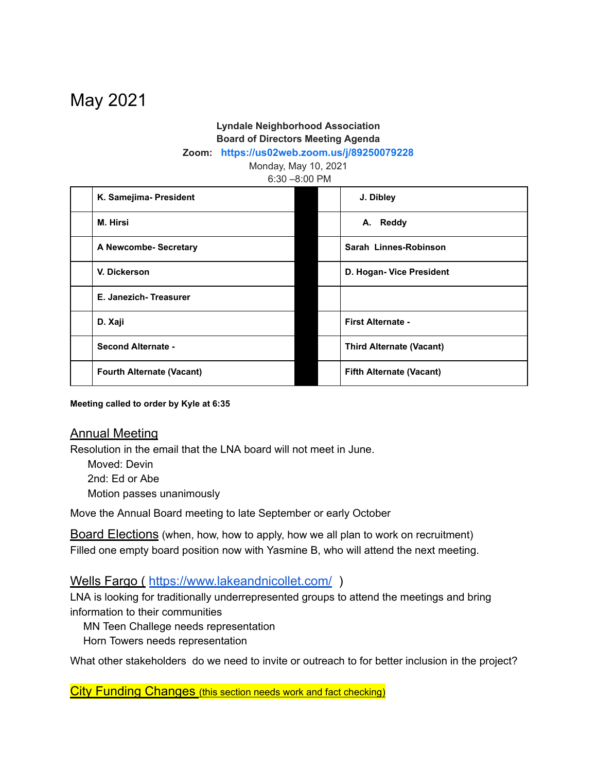# May 2021

# **Lyndale Neighborhood Association Board of Directors Meeting Agenda**

**Zoom: <https://us02web.zoom.us/j/89250079228>**

Monday, May 10, 2021

6:30 –8:00 PM

| K. Samejima- President           | J. Dibley                       |  |
|----------------------------------|---------------------------------|--|
| M. Hirsi                         | A. Reddy                        |  |
| A Newcombe- Secretary            | Sarah Linnes-Robinson           |  |
| V. Dickerson                     | D. Hogan- Vice President        |  |
| E. Janezich-Treasurer            |                                 |  |
| D. Xaji                          | <b>First Alternate -</b>        |  |
| <b>Second Alternate -</b>        | <b>Third Alternate (Vacant)</b> |  |
| <b>Fourth Alternate (Vacant)</b> | <b>Fifth Alternate (Vacant)</b> |  |

**Meeting called to order by Kyle at 6:35**

#### Annual Meeting

Resolution in the email that the LNA board will not meet in June.

Moved: Devin 2nd: Ed or Abe Motion passes unanimously

Move the Annual Board meeting to late September or early October

**Board Elections** (when, how, how to apply, how we all plan to work on recruitment) Filled one empty board position now with Yasmine B, who will attend the next meeting.

#### Wells Fargo ( <https://www.lakeandnicollet.com/> )

LNA is looking for traditionally underrepresented groups to attend the meetings and bring information to their communities

MN Teen Challege needs representation

Horn Towers needs representation

What other stakeholders do we need to invite or outreach to for better inclusion in the project?

City Funding Changes (this section needs work and fact checking)